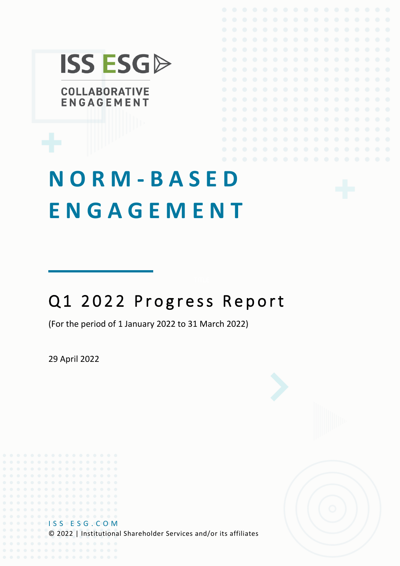

**ENGAGEMENT** 

# **N O R M - B A S E D E N G A G E M E N T**

## Q1 2022 Progress Report

(For the period of 1 January 2022 to 31 March 2022)

29 April 2022

ISS ESG.COM © 2022 | Institutional Shareholder Services and/or its affiliates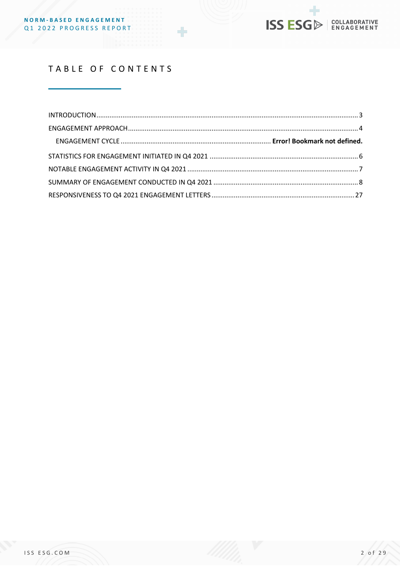## TABLE OF CONTENTS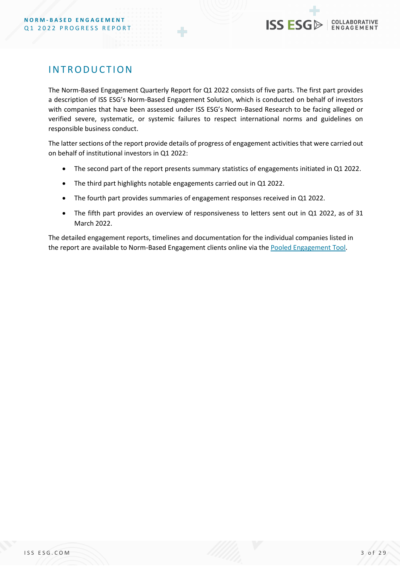

## <span id="page-2-0"></span>**INTRODUCTION**

The Norm-Based Engagement Quarterly Report for Q1 2022 consists of five parts. The first part provides a description of ISS ESG's Norm-Based Engagement Solution, which is conducted on behalf of investors with companies that have been assessed under ISS ESG's Norm-Based Research to be facing alleged or verified severe, systematic, or systemic failures to respect international norms and guidelines on responsible business conduct.

The latter sections of the report provide details of progress of engagement activities that were carried out on behalf of institutional investors in Q1 2022:

- The second part of the report presents summary statistics of engagements initiated in Q1 2022.
- The third part highlights notable engagements carried out in Q1 2022.
- The fourth part provides summaries of engagement responses received in Q1 2022.
- The fifth part provides an overview of responsiveness to letters sent out in Q1 2022, as of 31 March 2022.

The detailed engagement reports, timelines and documentation for the individual companies listed in the report are available to Norm-Based Engagement clients online via th[e Pooled Engagement Tool.](https://pooled-engagement.issgovernance.com/home)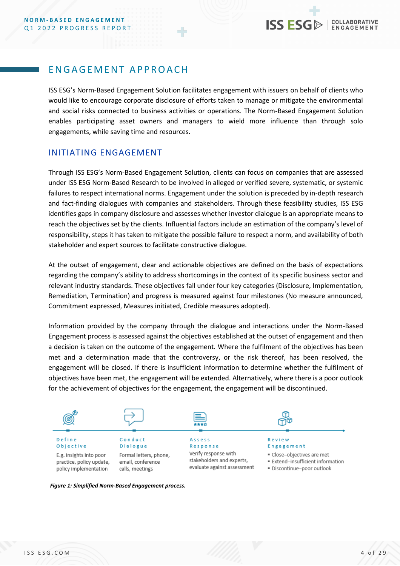## <span id="page-3-0"></span>FNGAGEMENT APPROACH

ISS ESG's Norm-Based Engagement Solution facilitates engagement with issuers on behalf of clients who would like to encourage corporate disclosure of efforts taken to manage or mitigate the environmental and social risks connected to business activities or operations. The Norm-Based Engagement Solution enables participating asset owners and managers to wield more influence than through solo engagements, while saving time and resources.

## INITIATING ENGAGEMENT

Through ISS ESG's Norm-Based Engagement Solution, clients can focus on companies that are assessed under ISS ESG Norm-Based Research to be involved in alleged or verified severe, systematic, or systemic failures to respect international norms. Engagement under the solution is preceded by in-depth research and fact-finding dialogues with companies and stakeholders. Through these feasibility studies, ISS ESG identifies gaps in company disclosure and assesses whether investor dialogue is an appropriate means to reach the objectives set by the clients. Influential factors include an estimation of the company's level of responsibility, steps it has taken to mitigate the possible failure to respect a norm, and availability of both stakeholder and expert sources to facilitate constructive dialogue.

At the outset of engagement, clear and actionable objectives are defined on the basis of expectations regarding the company's ability to address shortcomings in the context of its specific business sector and relevant industry standards. These objectives fall under four key categories (Disclosure, Implementation, Remediation, Termination) and progress is measured against four milestones (No measure announced, Commitment expressed, Measures initiated, Credible measures adopted).

Information provided by the company through the dialogue and interactions under the Norm-Based Engagement process is assessed against the objectives established at the outset of engagement and then a decision is taken on the outcome of the engagement. Where the fulfilment of the objectives has been met and a determination made that the controversy, or the risk thereof, has been resolved, the engagement will be closed. If there is insufficient information to determine whether the fulfilment of objectives have been met, the engagement will be extended. Alternatively, where there is a poor outlook for the achievement of objectives for the engagement, the engagement will be discontinued.



#### *Figure 1: Simplified Norm-Based Engagement process.*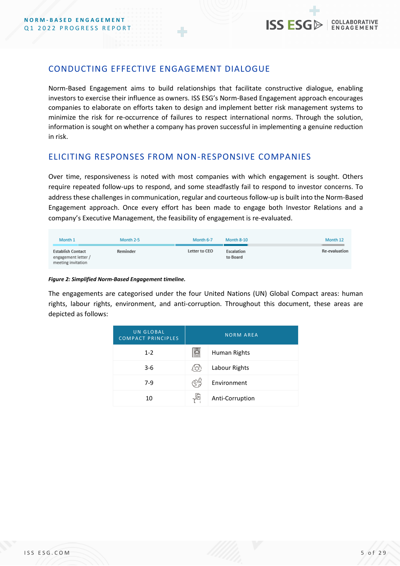

## CONDUCTING EFFECTIVE ENGAGEMENT DIALOGUE

Norm-Based Engagement aims to build relationships that facilitate constructive dialogue, enabling investors to exercise their influence as owners. ISS ESG's Norm-Based Engagement approach encourages companies to elaborate on efforts taken to design and implement better risk management systems to minimize the risk for re-occurrence of failures to respect international norms. Through the solution, information is sought on whether a company has proven successful in implementing a genuine reduction in risk.

## ELICITING RESPONSES FROM NON-RESPONSIVE COMPANIES

Over time, responsiveness is noted with most companies with which engagement is sought. Others require repeated follow-ups to respond, and some steadfastly fail to respond to investor concerns. To address these challenges in communication, regular and courteous follow-up is built into the Norm-Based Engagement approach. Once every effort has been made to engage both Investor Relations and a company's Executive Management, the feasibility of engagement is re-evaluated.

| Month 1                                                               | Month 2-5 | Month 6-7     | Month 8-10             | Month 12      |
|-----------------------------------------------------------------------|-----------|---------------|------------------------|---------------|
| <b>Establish Contact</b><br>engagement letter /<br>meeting invitation | Reminder  | Letter to CEO | Escalation<br>to Board | Re-evaluation |

#### *Figure 2: Simplified Norm-Based Engagement timeline.*

The engagements are categorised under the four United Nations (UN) Global Compact areas: human rights, labour rights, environment, and anti-corruption. Throughout this document, these areas are depicted as follows:

| <b>UN GLOBAL</b><br><b>COMPACT PRINCIPLES</b> | NORM AREA |                 |
|-----------------------------------------------|-----------|-----------------|
| $1 - 2$                                       |           | Human Rights    |
| $3-6$                                         |           | Labour Rights   |
| $7-9$                                         |           | Environment     |
| 10                                            |           | Anti-Corruption |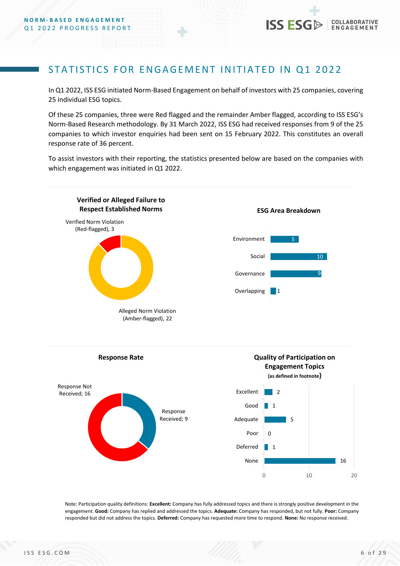<span id="page-5-0"></span>In Q1 2022, ISS ESG initiated Norm-Based Engagement on behalf of investors with 25 companies, covering 25 individual ESG topics.

Of these 25 companies, three were Red flagged and the remainder Amber flagged, according to ISS ESG's Norm-Based Research methodology. By 31 March 2022, ISS ESG had received responses from 9 of the 25 companies to which investor enquiries had been sent on 15 February 2022. This constitutes an overall response rate of 36 percent.

To assist investors with their reporting, the statistics presented below are based on the companies with which engagement was initiated in Q1 2022.



Note: Participation quality definitions: **Excellent:** Company has fully addressed topics and there is strongly positive development in the engagement. **Good:** Company has replied and addressed the topics. **Adequate:** Company has responded, but not fully. **Poor:** Company responded but did not address the topics. **Deferred:** Company has requested more time to respond. **None:** No response received.

**COLLABORATIVE ENGAGEMENT**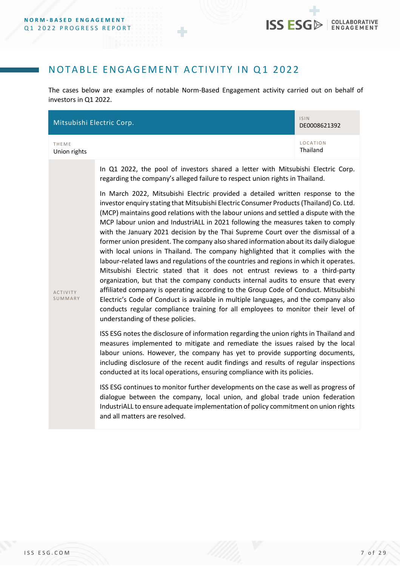## <span id="page-6-0"></span>NOTABLE ENGAGEMENT ACTIVITY IN Q1 2022

The cases below are examples of notable Norm-Based Engagement activity carried out on behalf of investors in Q1 2022.

| Mitsubishi Electric Corp.  |                                                                                                                                                                                                                                                                                                                                                                                                                                                                                                                                                                                                                                                                                                                                                                                                                                                                                                                                                                                                                                                                                                                                                                                                                                     | <b>ISIN</b><br>DE0008621392 |
|----------------------------|-------------------------------------------------------------------------------------------------------------------------------------------------------------------------------------------------------------------------------------------------------------------------------------------------------------------------------------------------------------------------------------------------------------------------------------------------------------------------------------------------------------------------------------------------------------------------------------------------------------------------------------------------------------------------------------------------------------------------------------------------------------------------------------------------------------------------------------------------------------------------------------------------------------------------------------------------------------------------------------------------------------------------------------------------------------------------------------------------------------------------------------------------------------------------------------------------------------------------------------|-----------------------------|
| THEME<br>Union rights      |                                                                                                                                                                                                                                                                                                                                                                                                                                                                                                                                                                                                                                                                                                                                                                                                                                                                                                                                                                                                                                                                                                                                                                                                                                     | <b>LOCATION</b><br>Thailand |
|                            | In Q1 2022, the pool of investors shared a letter with Mitsubishi Electric Corp.                                                                                                                                                                                                                                                                                                                                                                                                                                                                                                                                                                                                                                                                                                                                                                                                                                                                                                                                                                                                                                                                                                                                                    |                             |
| <b>ACTIVITY</b><br>SUMMARY | regarding the company's alleged failure to respect union rights in Thailand.<br>In March 2022, Mitsubishi Electric provided a detailed written response to the<br>investor enquiry stating that Mitsubishi Electric Consumer Products (Thailand) Co. Ltd.<br>(MCP) maintains good relations with the labour unions and settled a dispute with the<br>MCP labour union and IndustriALL in 2021 following the measures taken to comply<br>with the January 2021 decision by the Thai Supreme Court over the dismissal of a<br>former union president. The company also shared information about its daily dialogue<br>with local unions in Thailand. The company highlighted that it complies with the<br>labour-related laws and regulations of the countries and regions in which it operates.<br>Mitsubishi Electric stated that it does not entrust reviews to a third-party<br>organization, but that the company conducts internal audits to ensure that every<br>affiliated company is operating according to the Group Code of Conduct. Mitsubishi<br>Electric's Code of Conduct is available in multiple languages, and the company also<br>conducts regular compliance training for all employees to monitor their level of |                             |
|                            | ISS ESG notes the disclosure of information regarding the union rights in Thailand and<br>measures implemented to mitigate and remediate the issues raised by the local<br>labour unions. However, the company has yet to provide supporting documents,<br>including disclosure of the recent audit findings and results of regular inspections<br>conducted at its local operations, ensuring compliance with its policies.                                                                                                                                                                                                                                                                                                                                                                                                                                                                                                                                                                                                                                                                                                                                                                                                        |                             |
|                            | ISS ESG continues to monitor further developments on the case as well as progress of<br>dialogue between the company, local union, and global trade union federation<br>IndustriALL to ensure adequate implementation of policy commitment on union rights<br>and all matters are resolved.                                                                                                                                                                                                                                                                                                                                                                                                                                                                                                                                                                                                                                                                                                                                                                                                                                                                                                                                         |                             |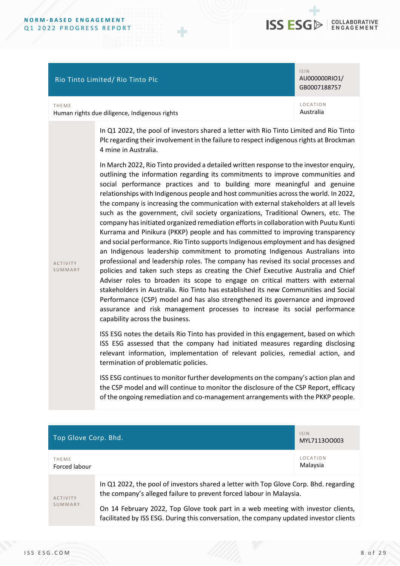**THEME** 

**ACTIVITY SUMMARY** 



#### Rio Tinto Limited/ Rio Tinto Plc

#### ISIN AU000000RIO1/ GB0007188757

L O C A T I O N Australia

Human rights due diligence, Indigenous rights

In Q1 2022, the pool of investors shared a letter with Rio Tinto Limited and Rio Tinto Plc regarding their involvement in the failure to respect indigenous rights at Brockman 4 mine in Australia.

In March 2022, Rio Tinto provided a detailed written response to the investor enquiry, outlining the information regarding its commitments to improve communities and social performance practices and to building more meaningful and genuine relationships with Indigenous people and host communities across the world. In 2022, the company is increasing the communication with external stakeholders at all levels such as the government, civil society organizations, Traditional Owners, etc. The company has initiated organized remediation efforts in collaboration with Puutu Kunti Kurrama and Pinikura (PKKP) people and has committed to improving transparency and social performance. Rio Tinto supports Indigenous employment and has designed an Indigenous leadership commitment to promoting Indigenous Australians into professional and leadership roles. The company has revised its social processes and policies and taken such steps as creating the Chief Executive Australia and Chief Adviser roles to broaden its scope to engage on critical matters with external stakeholders in Australia. Rio Tinto has established its new Communities and Social Performance (CSP) model and has also strengthened its governance and improved assurance and risk management processes to increase its social performance capability across the business.

ISS ESG notes the details Rio Tinto has provided in this engagement, based on which ISS ESG assessed that the company had initiated measures regarding disclosing relevant information, implementation of relevant policies, remedial action, and termination of problematic policies.

ISS ESG continues to monitor further developments on the company's action plan and the CSP model and will continue to monitor the disclosure of the CSP Report, efficacy of the ongoing remediation and co-management arrangements with the PKKP people.

<span id="page-7-0"></span>

| Top Glove Corp. Bhd.          |                                                                                                                                                              | <b>ISIN</b><br>MYL711300003 |
|-------------------------------|--------------------------------------------------------------------------------------------------------------------------------------------------------------|-----------------------------|
| <b>THEME</b><br>Forced labour |                                                                                                                                                              | <b>LOCATION</b><br>Malaysia |
| <b>ACTIVITY</b><br>SUMMARY    | In Q1 2022, the pool of investors shared a letter with Top Glove Corp. Bhd. regarding<br>the company's alleged failure to prevent forced labour in Malaysia. |                             |

On 14 February 2022, Top Glove took part in a web meeting with investor clients, facilitated by ISS ESG. During this conversation, the company updated investor clients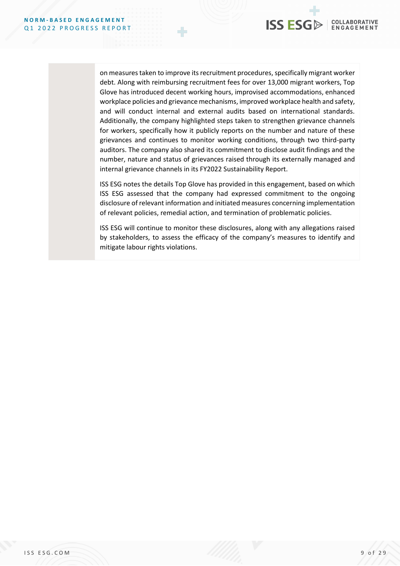

on measures taken to improve its recruitment procedures, specifically migrant worker debt. Along with reimbursing recruitment fees for over 13,000 migrant workers, Top Glove has introduced decent working hours, improvised accommodations, enhanced workplace policies and grievance mechanisms, improved workplace health and safety, and will conduct internal and external audits based on international standards. Additionally, the company highlighted steps taken to strengthen grievance channels for workers, specifically how it publicly reports on the number and nature of these grievances and continues to monitor working conditions, through two third-party auditors. The company also shared its commitment to disclose audit findings and the number, nature and status of grievances raised through its externally managed and internal grievance channels in its FY2022 Sustainability Report.

ISS ESG notes the details Top Glove has provided in this engagement, based on which ISS ESG assessed that the company had expressed commitment to the ongoing disclosure of relevant information and initiated measures concerning implementation of relevant policies, remedial action, and termination of problematic policies.

ISS ESG will continue to monitor these disclosures, along with any allegations raised by stakeholders, to assess the efficacy of the company's measures to identify and mitigate labour rights violations.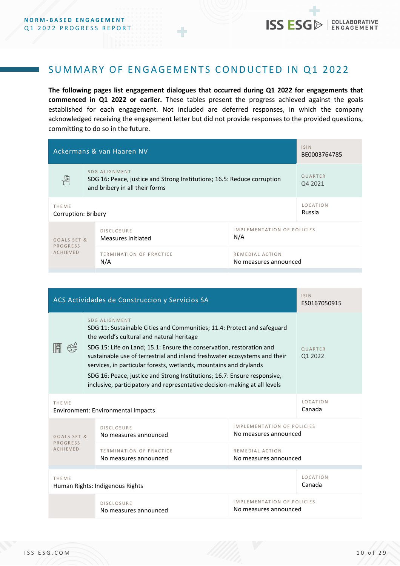## SUMMARY OF ENGAGEMENTS CONDUCTED IN Q1 2022

**The following pages list engagement dialogues that occurred during Q1 2022 for engagements that commenced in Q1 2022 or earlier.** These tables present the progress achieved against the goals established for each engagement. Not included are deferred responses, in which the company acknowledged receiving the engagement letter but did not provide responses to the provided questions, committing to do so in the future.

| Ackermans & van Haaren NV                                                                          |                                                                                                                                   |                                          | <b>ISIN</b><br>BE0003764785 |
|----------------------------------------------------------------------------------------------------|-----------------------------------------------------------------------------------------------------------------------------------|------------------------------------------|-----------------------------|
| <u>ple</u>                                                                                         | <b>SDG ALIGNMENT</b><br>SDG 16: Peace, justice and Strong Institutions; 16.5: Reduce corruption<br>and bribery in all their forms |                                          | QUARTER<br>Q4 2021          |
| <b>THEME</b><br>Corruption: Bribery                                                                |                                                                                                                                   | <b>LOCATION</b><br>Russia                |                             |
| <b>IMPLEMENTATION OF POLICIES</b><br><b>DISCLOSURE</b><br>N/A<br>Measures initiated<br>GOALS SET & |                                                                                                                                   |                                          |                             |
| PROGRESS<br><b>ACHIEVED</b>                                                                        | <b>TERMINATION OF PRACTICE</b><br>N/A                                                                                             | REMEDIAL ACTION<br>No measures announced |                             |

|                                                                                                                                                                                                                                                                                                                                                                                                                                                                                                                                                          | ACS Actividades de Construccion y Servicios SA          |                                                            | <b>ISIN</b><br>ES0167050915 |
|----------------------------------------------------------------------------------------------------------------------------------------------------------------------------------------------------------------------------------------------------------------------------------------------------------------------------------------------------------------------------------------------------------------------------------------------------------------------------------------------------------------------------------------------------------|---------------------------------------------------------|------------------------------------------------------------|-----------------------------|
| SDG ALIGNMENT<br>SDG 11: Sustainable Cities and Communities; 11.4: Protect and safeguard<br>the world's cultural and natural heritage<br>$\mathfrak{S}^{\mathcal{G}}$<br>SDG 15: Life on Land; 15.1: Ensure the conservation, restoration and<br>sustainable use of terrestrial and inland freshwater ecosystems and their<br>services, in particular forests, wetlands, mountains and drylands<br>SDG 16: Peace, justice and Strong Institutions; 16.7: Ensure responsive,<br>inclusive, participatory and representative decision-making at all levels |                                                         | QUARTER<br>Q1 2022                                         |                             |
| <b>THEME</b><br>Environment: Environmental Impacts                                                                                                                                                                                                                                                                                                                                                                                                                                                                                                       |                                                         | <b>LOCATION</b><br>Canada                                  |                             |
| GOALS SET &                                                                                                                                                                                                                                                                                                                                                                                                                                                                                                                                              | <b>DISCLOSURE</b><br>No measures announced              | <b>IMPLEMENTATION OF POLICIES</b><br>No measures announced |                             |
| PROGRESS<br><b>ACHIEVED</b>                                                                                                                                                                                                                                                                                                                                                                                                                                                                                                                              | <b>TERMINATION OF PRACTICE</b><br>No measures announced | REMEDIAL ACTION<br>No measures announced                   |                             |
| <b>THEME</b><br>Human Rights: Indigenous Rights                                                                                                                                                                                                                                                                                                                                                                                                                                                                                                          |                                                         |                                                            | <b>LOCATION</b><br>Canada   |
|                                                                                                                                                                                                                                                                                                                                                                                                                                                                                                                                                          | <b>DISCLOSURE</b><br>No measures announced              | <b>IMPLEMENTATION OF POLICIES</b><br>No measures announced |                             |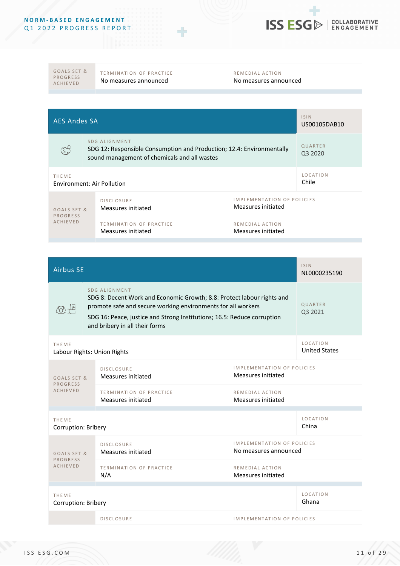

GOALS SET & P R O G R E S S A C H I E V E D

TERMINATION OF PRACTICE No measures announced

#### R E M E D I A L A C T I O N No measures announced

| <b>AES Andes SA</b>                 |                                                                                                                                        | <b>ISIN</b><br>US00105DAB10 |
|-------------------------------------|----------------------------------------------------------------------------------------------------------------------------------------|-----------------------------|
| 44                                  | SDG ALIGNMENT<br>SDG 12: Responsible Consumption and Production; 12.4: Environmentally<br>sound management of chemicals and all wastes |                             |
| THEME<br>Environment: Air Pollution |                                                                                                                                        | LOCATION<br>Chile           |
| GOALS SET &<br>PROGRESS             | <b>IMPLEMENTATION OF POLICIES</b><br><b>DISCLOSURE</b><br>Measures initiated<br>Measures initiated                                     |                             |
| <b>ACHIEVED</b>                     | <b>TERMINATION OF PRACTICE</b><br>REMEDIAL ACTION<br>Measures initiated<br>Measures initiated                                          |                             |

| <b>Airbus SE</b>                                                                                                                                                                                                                                                                                                   |                                                                                                       |                                                  | <b>ISIN</b><br>NL0000235190             |
|--------------------------------------------------------------------------------------------------------------------------------------------------------------------------------------------------------------------------------------------------------------------------------------------------------------------|-------------------------------------------------------------------------------------------------------|--------------------------------------------------|-----------------------------------------|
| <b>SDG ALIGNMENT</b><br>SDG 8: Decent Work and Economic Growth; 8.8: Protect labour rights and<br>promote safe and secure working environments for all workers<br>$\bigoplus' \biguparrow_{\text{I}}$<br>SDG 16: Peace, justice and Strong Institutions; 16.5: Reduce corruption<br>and bribery in all their forms |                                                                                                       | QUARTER<br>Q3 2021                               |                                         |
| <b>THEME</b>                                                                                                                                                                                                                                                                                                       | Labour Rights: Union Rights                                                                           |                                                  | <b>LOCATION</b><br><b>United States</b> |
| GOALS SET &<br>PROGRESS                                                                                                                                                                                                                                                                                            | <b>DISCLOSURE</b><br>Measures initiated                                                               | IMPLEMENTATION OF POLICIES<br>Measures initiated |                                         |
| <b>ACHIEVED</b>                                                                                                                                                                                                                                                                                                    | TERMINATION OF PRACTICE<br>Measures initiated                                                         | REMEDIAL ACTION<br>Measures initiated            |                                         |
| <b>THEME</b><br>Corruption: Bribery                                                                                                                                                                                                                                                                                |                                                                                                       |                                                  | <b>LOCATION</b><br>China                |
| GOALS SET &<br>PROGRESS                                                                                                                                                                                                                                                                                            | <b>IMPLEMENTATION OF POLICIES</b><br><b>DISCLOSURE</b><br>No measures announced<br>Measures initiated |                                                  |                                         |
| <b>ACHIEVED</b>                                                                                                                                                                                                                                                                                                    | <b>TERMINATION OF PRACTICE</b><br>N/A                                                                 | REMEDIAL ACTION<br>Measures initiated            |                                         |
| <b>THEME</b><br>Corruption: Bribery                                                                                                                                                                                                                                                                                |                                                                                                       |                                                  | <b>LOCATION</b><br>Ghana                |
|                                                                                                                                                                                                                                                                                                                    | <b>DISCLOSURE</b>                                                                                     | <b>IMPLEMENTATION OF POLICIES</b>                |                                         |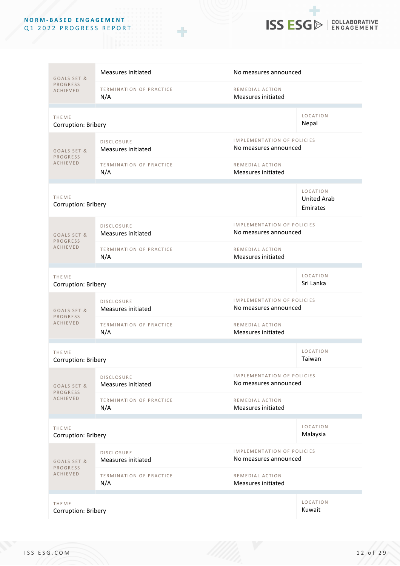

| GOALS SET &                                                                 | Measures initiated                      | No measures announced                                      |                                                   |  |
|-----------------------------------------------------------------------------|-----------------------------------------|------------------------------------------------------------|---------------------------------------------------|--|
| <b>PROGRESS</b><br><b>ACHIEVED</b>                                          | <b>TERMINATION OF PRACTICE</b><br>N/A   | REMEDIAL ACTION<br>Measures initiated                      |                                                   |  |
| THEME<br>Corruption: Bribery                                                |                                         |                                                            | <b>LOCATION</b><br>Nepal                          |  |
| GOALS SET &                                                                 | <b>DISCLOSURE</b><br>Measures initiated | <b>IMPLEMENTATION OF POLICIES</b><br>No measures announced |                                                   |  |
| <b>PROGRESS</b><br><b>ACHIEVED</b>                                          | <b>TERMINATION OF PRACTICE</b><br>N/A   | REMEDIAL ACTION<br>Measures initiated                      |                                                   |  |
| THEME<br>Corruption: Bribery                                                |                                         |                                                            | <b>LOCATION</b><br><b>United Arab</b><br>Emirates |  |
| GOALS SET &                                                                 | <b>DISCLOSURE</b><br>Measures initiated | IMPLEMENTATION OF POLICIES<br>No measures announced        |                                                   |  |
| <b>PROGRESS</b><br><b>ACHIEVED</b><br><b>TERMINATION OF PRACTICE</b><br>N/A |                                         | REMEDIAL ACTION<br>Measures initiated                      |                                                   |  |
| <b>LOCATION</b><br>THEME<br>Sri Lanka<br>Corruption: Bribery                |                                         |                                                            |                                                   |  |
| GOALS SET &<br><b>PROGRESS</b>                                              | DISCLOSURE<br>Measures initiated        | <b>IMPLEMENTATION OF POLICIES</b><br>No measures announced |                                                   |  |
| <b>ACHIEVED</b>                                                             | TERMINATION OF PRACTICE<br>N/A          | REMEDIAL ACTION<br>Measures initiated                      |                                                   |  |
| <b>THEME</b><br>Corruption: Bribery                                         |                                         |                                                            | <b>LOCATION</b><br>Taiwan                         |  |
| GOALS SET &<br>PROGRESS                                                     | <b>DISCLOSURE</b><br>Measures initiated | <b>IMPLEMENTATION OF POLICIES</b><br>No measures announced |                                                   |  |
| <b>ACHIEVED</b>                                                             | TERMINATION OF PRACTICE<br>N/A          | REMEDIAL ACTION<br>Measures initiated                      |                                                   |  |
| THEME<br>Corruption: Bribery                                                |                                         | <b>LOCATION</b><br>Malaysia                                |                                                   |  |
| GOALS SET &<br>PROGRESS                                                     | <b>DISCLOSURE</b><br>Measures initiated | <b>IMPLEMENTATION OF POLICIES</b><br>No measures announced |                                                   |  |
| <b>ACHIEVED</b>                                                             | <b>TERMINATION OF PRACTICE</b><br>N/A   | REMEDIAL ACTION<br>Measures initiated                      |                                                   |  |
| <b>LOCATION</b><br>THEME<br>Kuwait<br>Corruption: Bribery                   |                                         |                                                            |                                                   |  |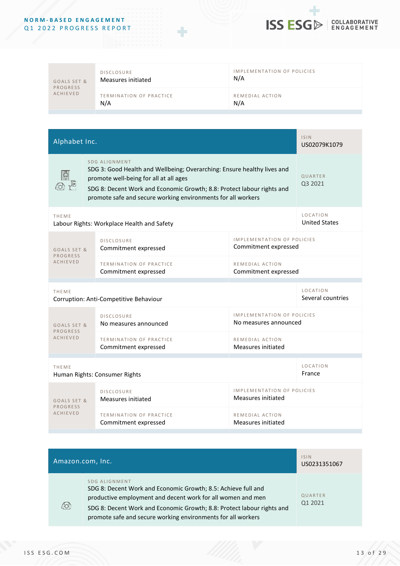

| GOALS SET & | <b>DISCLOSURE</b>              | IMPLEMENTATION OF POLICIES |
|-------------|--------------------------------|----------------------------|
| PROGRESS    | Measures initiated             | N/A                        |
| ACHIEVED    | TERMINATION OF PRACTICE<br>N/A | REMEDIAL ACTION<br>N/A     |

| Alphabet Inc.                                                                                                                                                                                                                                                                                |                                                        |                                                            | <b>ISIN</b><br>US02079K1079             |
|----------------------------------------------------------------------------------------------------------------------------------------------------------------------------------------------------------------------------------------------------------------------------------------------|--------------------------------------------------------|------------------------------------------------------------|-----------------------------------------|
| SDG ALIGNMENT<br>SDG 3: Good Health and Wellbeing; Overarching: Ensure healthy lives and<br>$\mathbb{R}$<br>promote well-being for all at all ages<br>SDG 8: Decent Work and Economic Growth; 8.8: Protect labour rights and<br>promote safe and secure working environments for all workers |                                                        | QUARTER<br>Q3 2021                                         |                                         |
| <b>THEME</b>                                                                                                                                                                                                                                                                                 | Labour Rights: Workplace Health and Safety             |                                                            | <b>LOCATION</b><br><b>United States</b> |
| <b>IMPLEMENTATION OF POLICIES</b><br><b>DISCLOSURE</b><br>Commitment expressed<br>Commitment expressed<br>GOALS SET &<br>PROGRESS<br><b>ACHIEVED</b><br><b>TERMINATION OF PRACTICE</b><br>REMEDIAL ACTION<br>Commitment expressed<br>Commitment expressed                                    |                                                        |                                                            |                                         |
|                                                                                                                                                                                                                                                                                              |                                                        |                                                            |                                         |
| THEME<br>Corruption: Anti-Competitive Behaviour                                                                                                                                                                                                                                              |                                                        | <b>LOCATION</b><br>Several countries                       |                                         |
| GOALS SET &<br><b>PROGRESS</b>                                                                                                                                                                                                                                                               | <b>DISCLOSURE</b><br>No measures announced             | <b>IMPLEMENTATION OF POLICIES</b><br>No measures announced |                                         |
| <b>ACHIEVED</b>                                                                                                                                                                                                                                                                              | <b>TERMINATION OF PRACTICE</b><br>Commitment expressed | REMEDIAL ACTION<br>Measures initiated                      |                                         |
| <b>THEME</b><br>Human Rights: Consumer Rights                                                                                                                                                                                                                                                |                                                        |                                                            | <b>LOCATION</b><br>France               |
| GOALS SET &<br><b>PROGRESS</b>                                                                                                                                                                                                                                                               | <b>DISCLOSURE</b><br>Measures initiated                | <b>IMPLEMENTATION OF POLICIES</b><br>Measures initiated    |                                         |
| <b>ACHIEVED</b>                                                                                                                                                                                                                                                                              | <b>TERMINATION OF PRACTICE</b><br>Commitment expressed | REMEDIAL ACTION<br>Measures initiated                      |                                         |

|   | Amazon.com, Inc.                                                                                                                                                                                                                                                                        | <b>ISIN</b><br>US0231351067 |
|---|-----------------------------------------------------------------------------------------------------------------------------------------------------------------------------------------------------------------------------------------------------------------------------------------|-----------------------------|
| Æ | SDG ALIGNMENT<br>SDG 8: Decent Work and Economic Growth; 8.5: Achieve full and<br>productive employment and decent work for all women and men<br>SDG 8: Decent Work and Economic Growth; 8.8: Protect labour rights and<br>promote safe and secure working environments for all workers | QUARTER<br>01 2021          |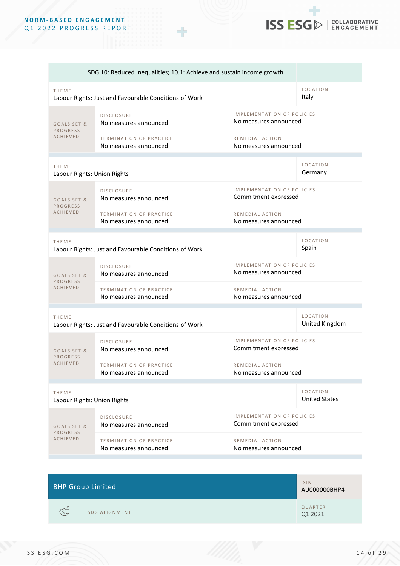

**ISS ESC** 

COLLABORATIVE **ENGAGEMENT** 

|   | <b>BHP Group Limited</b> | <b>ISIN</b><br>AU000000BHP4 |
|---|--------------------------|-----------------------------|
| ₩ | <b>SDG ALIGNMENT</b>     | QUARTER<br>Q1 2021          |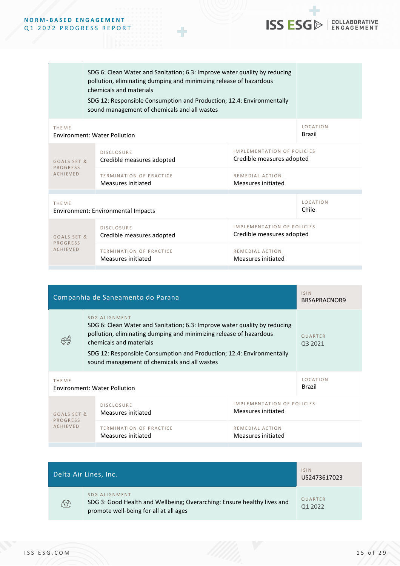

|                                             | SDG 6: Clean Water and Sanitation; 6.3: Improve water quality by reducing<br>pollution, eliminating dumping and minimizing release of hazardous<br>chemicals and materials<br>SDG 12: Responsible Consumption and Production; 12.4: Environmentally<br>sound management of chemicals and all wastes |                                                                |                           |  |
|---------------------------------------------|-----------------------------------------------------------------------------------------------------------------------------------------------------------------------------------------------------------------------------------------------------------------------------------------------------|----------------------------------------------------------------|---------------------------|--|
| THEME                                       | <b>Environment: Water Pollution</b>                                                                                                                                                                                                                                                                 |                                                                | <b>LOCATION</b><br>Brazil |  |
| GOALS SET &<br>PROGRESS                     | <b>DISCLOSURE</b><br>Credible measures adopted                                                                                                                                                                                                                                                      | IMPLEMENTATION OF POLICIES<br>Credible measures adopted        |                           |  |
| <b>ACHIEVED</b>                             | TERMINATION OF PRACTICE<br>Measures initiated                                                                                                                                                                                                                                                       | REMEDIAL ACTION<br>Measures initiated                          |                           |  |
| THEME<br>Environment: Environmental Impacts |                                                                                                                                                                                                                                                                                                     | <b>LOCATION</b><br>Chile                                       |                           |  |
| GOALS SET &<br><b>PROGRESS</b>              | <b>DISCLOSURE</b><br>Credible measures adopted                                                                                                                                                                                                                                                      | <b>IMPLEMENTATION OF POLICIES</b><br>Credible measures adopted |                           |  |
| <b>ACHIEVED</b>                             | TERMINATION OF PRACTICE<br>Measures initiated                                                                                                                                                                                                                                                       | REMEDIAL ACTION<br>Measures initiated                          |                           |  |

| Companhia de Saneamento do Parana                                            |                                                                                                                                                                                                                                                                                                                      | <b>ISIN</b><br>BRSAPRACNOR9           |                    |  |
|------------------------------------------------------------------------------|----------------------------------------------------------------------------------------------------------------------------------------------------------------------------------------------------------------------------------------------------------------------------------------------------------------------|---------------------------------------|--------------------|--|
|                                                                              | SDG ALIGNMENT<br>SDG 6: Clean Water and Sanitation; 6.3: Improve water quality by reducing<br>pollution, eliminating dumping and minimizing release of hazardous<br>chemicals and materials<br>SDG 12: Responsible Consumption and Production; 12.4: Environmentally<br>sound management of chemicals and all wastes |                                       | QUARTER<br>Q3 2021 |  |
| <b>THEME</b><br><b>Environment: Water Pollution</b>                          |                                                                                                                                                                                                                                                                                                                      | <b>LOCATION</b><br>Brazil             |                    |  |
| <b>DISCLOSURE</b><br>Measures initiated<br>Measures initiated<br>GOALS SET & |                                                                                                                                                                                                                                                                                                                      | <b>IMPLEMENTATION OF POLICIES</b>     |                    |  |
| PROGRESS<br><b>ACHIEVED</b>                                                  | TERMINATION OF PRACTICE<br>Measures initiated                                                                                                                                                                                                                                                                        | REMEDIAL ACTION<br>Measures initiated |                    |  |

|     | Delta Air Lines, Inc.                                                                                                              | <b>ISIN</b><br>US2473617023 |
|-----|------------------------------------------------------------------------------------------------------------------------------------|-----------------------------|
| ŢŌĎ | SDG ALIGNMENT<br>SDG 3: Good Health and Wellbeing; Overarching: Ensure healthy lives and<br>promote well-being for all at all ages | QUARTER<br>Q1 2022          |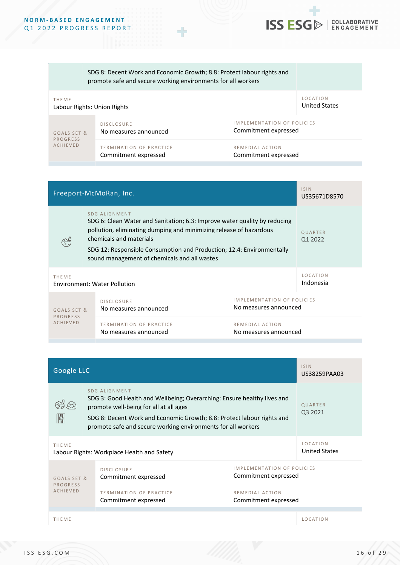|                      | SDG 8: Decent Work and Economic Growth; 8.8: Protect labour rights and<br>promote safe and secure working environments for all workers |                                                           |                                  |
|----------------------|----------------------------------------------------------------------------------------------------------------------------------------|-----------------------------------------------------------|----------------------------------|
| <b>THEME</b>         | Labour Rights: Union Rights                                                                                                            |                                                           | LOCATION<br><b>United States</b> |
| GOALS SET &          | <b>DISCLOSURE</b><br>No measures announced                                                                                             | <b>IMPLEMENTATION OF POLICIES</b><br>Commitment expressed |                                  |
| PROGRESS<br>ACHIEVED | <b>TERMINATION OF PRACTICE</b><br>Commitment expressed                                                                                 | REMEDIAL ACTION<br>Commitment expressed                   |                                  |

÷

٠

**ISS ESG** ENGAGEMENT

| Freeport-McMoRan, Inc.                              |                                                                                                                                                                                                                                                                                                                      | <b>ISIN</b><br>US35671D8570                                |                           |
|-----------------------------------------------------|----------------------------------------------------------------------------------------------------------------------------------------------------------------------------------------------------------------------------------------------------------------------------------------------------------------------|------------------------------------------------------------|---------------------------|
|                                                     | SDG ALIGNMENT<br>SDG 6: Clean Water and Sanitation; 6.3: Improve water quality by reducing<br>pollution, eliminating dumping and minimizing release of hazardous<br>chemicals and materials<br>SDG 12: Responsible Consumption and Production; 12.4: Environmentally<br>sound management of chemicals and all wastes |                                                            | <b>OUARTER</b><br>Q1 2022 |
| <b>THEME</b><br><b>Environment: Water Pollution</b> |                                                                                                                                                                                                                                                                                                                      | <b>LOCATION</b><br>Indonesia                               |                           |
| GOALS SET &<br>PROGRESS                             | <b>DISCLOSURE</b><br>No measures announced                                                                                                                                                                                                                                                                           | <b>IMPLEMENTATION OF POLICIES</b><br>No measures announced |                           |
| <b>ACHIEVED</b>                                     | <b>TERMINATION OF PRACTICE</b><br>No measures announced                                                                                                                                                                                                                                                              | REMEDIAL ACTION<br>No measures announced                   |                           |

| Google LLC                                                 |                                                                                                                                                                                                                                                                              |                                                           | <b>ISIN</b><br>US38259PAA03 |  |
|------------------------------------------------------------|------------------------------------------------------------------------------------------------------------------------------------------------------------------------------------------------------------------------------------------------------------------------------|-----------------------------------------------------------|-----------------------------|--|
| $\mathbb{R}$                                               | SDG ALIGNMENT<br>SDG 3: Good Health and Wellbeing; Overarching: Ensure healthy lives and<br>promote well-being for all at all ages<br>SDG 8: Decent Work and Economic Growth; 8.8: Protect labour rights and<br>promote safe and secure working environments for all workers |                                                           | QUARTER<br>Q3 2021          |  |
| <b>THEME</b><br>Labour Rights: Workplace Health and Safety |                                                                                                                                                                                                                                                                              | <b>LOCATION</b><br><b>United States</b>                   |                             |  |
| <b>DISCLOSURE</b><br>Commitment expressed<br>GOALS SET &   |                                                                                                                                                                                                                                                                              | <b>IMPLEMENTATION OF POLICIES</b><br>Commitment expressed |                             |  |
| PROGRESS<br><b>ACHIEVED</b>                                | <b>TERMINATION OF PRACTICE</b><br>Commitment expressed                                                                                                                                                                                                                       | REMEDIAL ACTION<br>Commitment expressed                   |                             |  |
| <b>THEME</b>                                               |                                                                                                                                                                                                                                                                              |                                                           | <b>LOCATION</b>             |  |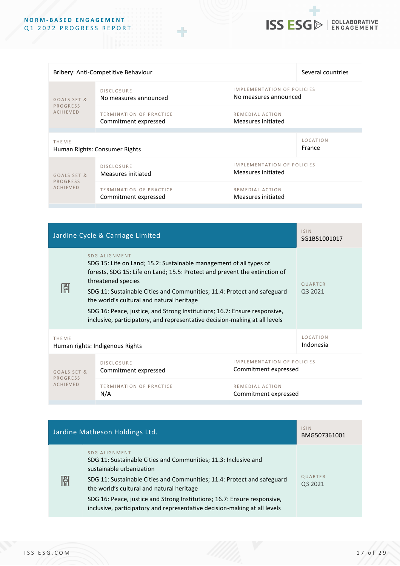

| Bribery: Anti-Competitive Behaviour                          |                                                        | Several countries                                          |  |
|--------------------------------------------------------------|--------------------------------------------------------|------------------------------------------------------------|--|
| GOALS SET &<br>PROGRESS                                      | <b>DISCLOSURE</b><br>No measures announced             | <b>IMPLEMENTATION OF POLICIES</b><br>No measures announced |  |
| <b>ACHIEVED</b>                                              | TERMINATION OF PRACTICE<br>Commitment expressed        | REMEDIAL ACTION<br>Measures initiated                      |  |
| LOCATION<br>THEME<br>France<br>Human Rights: Consumer Rights |                                                        |                                                            |  |
| GOALS SET &                                                  | <b>DISCLOSURE</b><br>Measures initiated                | <b>IMPLEMENTATION OF POLICIES</b><br>Measures initiated    |  |
| PROGRESS<br><b>ACHIEVED</b>                                  | <b>TERMINATION OF PRACTICE</b><br>Commitment expressed | REMEDIAL ACTION<br>Measures initiated                      |  |

|                                                 | Jardine Cycle & Carriage Limited                                                                                                                                                                                                                                                                                                                                                                                                                                           |                                                           | <b>ISIN</b><br>SG1B51001017 |
|-------------------------------------------------|----------------------------------------------------------------------------------------------------------------------------------------------------------------------------------------------------------------------------------------------------------------------------------------------------------------------------------------------------------------------------------------------------------------------------------------------------------------------------|-----------------------------------------------------------|-----------------------------|
| H                                               | SDG ALIGNMENT<br>SDG 15: Life on Land; 15.2: Sustainable management of all types of<br>forests, SDG 15: Life on Land; 15.5: Protect and prevent the extinction of<br>threatened species<br>SDG 11: Sustainable Cities and Communities; 11.4: Protect and safeguard<br>the world's cultural and natural heritage<br>SDG 16: Peace, justice, and Strong Institutions; 16.7: Ensure responsive,<br>inclusive, participatory, and representative decision-making at all levels |                                                           | QUARTER<br>Q3 2021          |
| <b>THEME</b><br>Human rights: Indigenous Rights |                                                                                                                                                                                                                                                                                                                                                                                                                                                                            | <b>LOCATION</b><br>Indonesia                              |                             |
| GOALS SET &                                     | <b>DISCLOSURE</b><br>Commitment expressed                                                                                                                                                                                                                                                                                                                                                                                                                                  | <b>IMPLEMENTATION OF POLICIES</b><br>Commitment expressed |                             |
| <b>PROGRESS</b><br><b>ACHIEVED</b>              | <b>TERMINATION OF PRACTICE</b><br>N/A                                                                                                                                                                                                                                                                                                                                                                                                                                      | REMEDIAL ACTION<br>Commitment expressed                   |                             |

| Jardine Matheson Holdings Ltd. |                                                                                                                                                                                                                                                                                                                                                                                               | <b>ISIN</b><br>BMG507361001 |
|--------------------------------|-----------------------------------------------------------------------------------------------------------------------------------------------------------------------------------------------------------------------------------------------------------------------------------------------------------------------------------------------------------------------------------------------|-----------------------------|
| H                              | SDG ALIGNMENT<br>SDG 11: Sustainable Cities and Communities: 11.3: Inclusive and<br>sustainable urbanization<br>SDG 11: Sustainable Cities and Communities; 11.4: Protect and safeguard<br>the world's cultural and natural heritage<br>SDG 16: Peace, justice and Strong Institutions; 16.7: Ensure responsive,<br>inclusive, participatory and representative decision-making at all levels | QUARTER<br>Q3 2021          |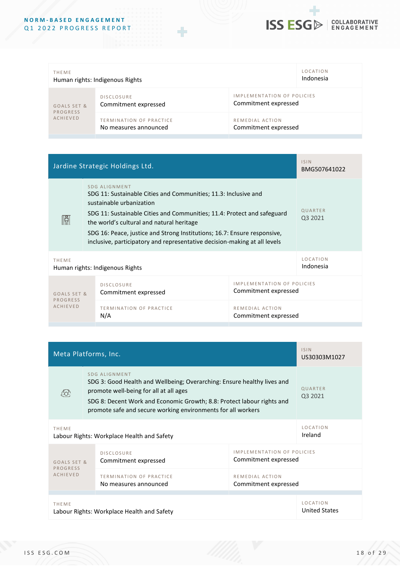

| <b>LOCATION</b><br>THEME<br>Indonesia<br>Human rights: Indigenous Rights |                                                  |                                                    |  |
|--------------------------------------------------------------------------|--------------------------------------------------|----------------------------------------------------|--|
| GOALS SET &<br>PROGRESS<br><b>ACHIEVED</b>                               | <b>DISCLOSURE</b><br>Commitment expressed        | IMPLEMENTATION OF POLICIES<br>Commitment expressed |  |
|                                                                          | TERMINATION OF PRACTICE<br>No measures announced | REMEDIAL ACTION<br>Commitment expressed            |  |

| Jardine Strategic Holdings Ltd.                 |                                                                                                                                                                                                                                                                                                                                                                                               |                                                    | <b>ISIN</b><br>BMG507641022  |
|-------------------------------------------------|-----------------------------------------------------------------------------------------------------------------------------------------------------------------------------------------------------------------------------------------------------------------------------------------------------------------------------------------------------------------------------------------------|----------------------------------------------------|------------------------------|
| H                                               | SDG ALIGNMENT<br>SDG 11: Sustainable Cities and Communities; 11.3: Inclusive and<br>sustainable urbanization<br>SDG 11: Sustainable Cities and Communities; 11.4: Protect and safeguard<br>the world's cultural and natural heritage<br>SDG 16: Peace, justice and Strong Institutions; 16.7: Ensure responsive,<br>inclusive, participatory and representative decision-making at all levels |                                                    | QUARTER<br>Q3 2021           |
| <b>THFMF</b><br>Human rights: Indigenous Rights |                                                                                                                                                                                                                                                                                                                                                                                               |                                                    | <b>LOCATION</b><br>Indonesia |
| GOALS SET &<br>PROGRESS                         | <b>DISCLOSURE</b><br>Commitment expressed                                                                                                                                                                                                                                                                                                                                                     | IMPLEMENTATION OF POLICIES<br>Commitment expressed |                              |
| <b>ACHIEVED</b>                                 | <b>TERMINATION OF PRACTICE</b><br>N/A                                                                                                                                                                                                                                                                                                                                                         | REMEDIAL ACTION<br>Commitment expressed            |                              |

| Meta Platforms, Inc.                       |                                                                                                                                                                                                                                                                              |                                         | <b>ISIN</b><br>US30303M1027 |
|--------------------------------------------|------------------------------------------------------------------------------------------------------------------------------------------------------------------------------------------------------------------------------------------------------------------------------|-----------------------------------------|-----------------------------|
| 407                                        | SDG ALIGNMENT<br>SDG 3: Good Health and Wellbeing; Overarching: Ensure healthy lives and<br>promote well-being for all at all ages<br>SDG 8: Decent Work and Economic Growth; 8.8: Protect labour rights and<br>promote safe and secure working environments for all workers |                                         | QUARTER<br>Q3 2021          |
| <b>THEME</b>                               |                                                                                                                                                                                                                                                                              |                                         | <b>LOCATION</b>             |
| Labour Rights: Workplace Health and Safety |                                                                                                                                                                                                                                                                              |                                         | Ireland                     |
| GOALS SET &                                | <b>DISCLOSURE</b>                                                                                                                                                                                                                                                            | <b>IMPLEMENTATION OF POLICIES</b>       |                             |
| PROGRESS                                   | Commitment expressed                                                                                                                                                                                                                                                         | Commitment expressed                    |                             |
| <b>ACHIEVED</b>                            | <b>TERMINATION OF PRACTICE</b><br>No measures announced                                                                                                                                                                                                                      | REMEDIAL ACTION<br>Commitment expressed |                             |
| <b>THEME</b>                               |                                                                                                                                                                                                                                                                              |                                         | <b>LOCATION</b>             |
| Labour Rights: Workplace Health and Safety |                                                                                                                                                                                                                                                                              |                                         | <b>United States</b>        |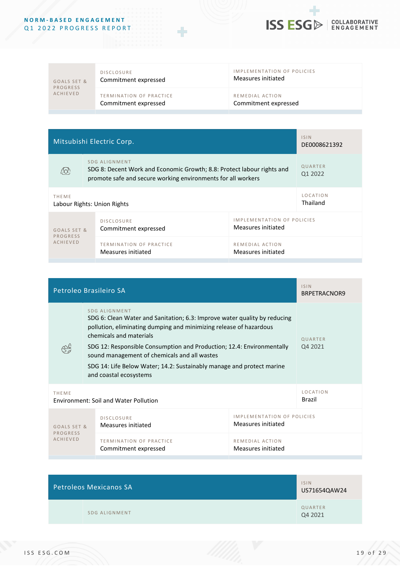

GOALS SET & P R O G R E S S A CHIEVED

#### D ISCLOSURE Commitment expressed

TERMINATION OF PRACTICE Commitment expressed

IMPLEMENTATION OF POLICIES Measures initiated

R E M E D I A L A C T I O N Commitment expressed

| Mitsubishi Electric Corp. | <b>ISIN</b><br>DE0008621392                                                                                                                             |                                                         |  |
|---------------------------|---------------------------------------------------------------------------------------------------------------------------------------------------------|---------------------------------------------------------|--|
| 407                       | SDG ALIGNMENT<br>SDG 8: Decent Work and Economic Growth; 8.8: Protect labour rights and<br>promote safe and secure working environments for all workers | QUARTER<br>Q1 2022                                      |  |
| THEME                     | Labour Rights: Union Rights                                                                                                                             |                                                         |  |
| GOALS SET &<br>PROGRESS   | <b>DISCLOSURE</b><br>Commitment expressed                                                                                                               | <b>IMPLEMENTATION OF POLICIES</b><br>Measures initiated |  |
| <b>ACHIEVED</b>           | <b>TERMINATION OF PRACTICE</b><br>REMEDIAL ACTION<br>Measures initiated<br>Measures initiated                                                           |                                                         |  |

| Petroleo Brasileiro SA                                       |                                                                                                                                                                                                                                                                                                                                                                                                                         |                                                  | <b>ISIN</b><br>BRPETRACNOR9 |
|--------------------------------------------------------------|-------------------------------------------------------------------------------------------------------------------------------------------------------------------------------------------------------------------------------------------------------------------------------------------------------------------------------------------------------------------------------------------------------------------------|--------------------------------------------------|-----------------------------|
|                                                              | SDG ALIGNMENT<br>SDG 6: Clean Water and Sanitation; 6.3: Improve water quality by reducing<br>pollution, eliminating dumping and minimizing release of hazardous<br>chemicals and materials<br>SDG 12: Responsible Consumption and Production; 12.4: Environmentally<br>sound management of chemicals and all wastes<br>SDG 14: Life Below Water; 14.2: Sustainably manage and protect marine<br>and coastal ecosystems |                                                  | QUARTER<br>Q4 2021          |
| <b>THEME</b><br><b>Environment: Soil and Water Pollution</b> |                                                                                                                                                                                                                                                                                                                                                                                                                         | <b>LOCATION</b><br>Brazil                        |                             |
| GOALS SET &<br>PROGRESS                                      | <b>DISCLOSURE</b><br>Measures initiated                                                                                                                                                                                                                                                                                                                                                                                 | IMPLEMENTATION OF POLICIES<br>Measures initiated |                             |
| <b>ACHIEVED</b>                                              | TERMINATION OF PRACTICE<br>Commitment expressed                                                                                                                                                                                                                                                                                                                                                                         | REMEDIAL ACTION<br>Measures initiated            |                             |

|  | <b>Petroleos Mexicanos SA</b> | <b>ISIN</b><br>US71654QAW24 |
|--|-------------------------------|-----------------------------|
|  | <b>SDG ALIGNMENT</b>          | QUARTER<br>Q4 2021          |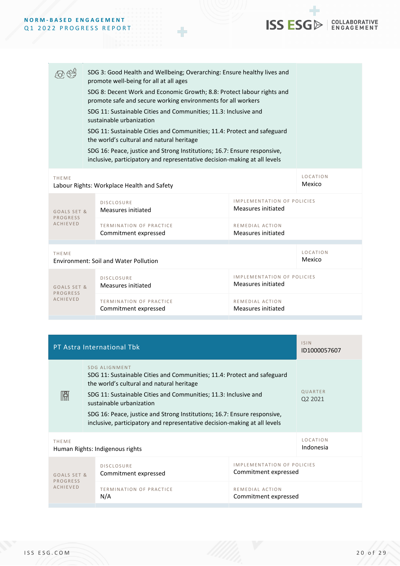

|                                                     | SDG 3: Good Health and Wellbeing; Overarching: Ensure healthy lives and<br>promote well-being for all at all ages<br>SDG 8: Decent Work and Economic Growth; 8.8: Protect labour rights and<br>promote safe and secure working environments for all workers<br>SDG 11: Sustainable Cities and Communities; 11.3: Inclusive and<br>sustainable urbanization<br>SDG 11: Sustainable Cities and Communities; 11.4: Protect and safeguard<br>the world's cultural and natural heritage<br>SDG 16: Peace, justice and Strong Institutions; 16.7: Ensure responsive,<br>inclusive, participatory and representative decision-making at all levels |                                                        |                                                         |  |
|-----------------------------------------------------|---------------------------------------------------------------------------------------------------------------------------------------------------------------------------------------------------------------------------------------------------------------------------------------------------------------------------------------------------------------------------------------------------------------------------------------------------------------------------------------------------------------------------------------------------------------------------------------------------------------------------------------------|--------------------------------------------------------|---------------------------------------------------------|--|
| THEME<br>Labour Rights: Workplace Health and Safety |                                                                                                                                                                                                                                                                                                                                                                                                                                                                                                                                                                                                                                             |                                                        | <b>LOCATION</b><br>Mexico                               |  |
| GOALS SET &<br><b>PROGRESS</b><br><b>ACHIEVED</b>   |                                                                                                                                                                                                                                                                                                                                                                                                                                                                                                                                                                                                                                             | <b>DISCLOSURE</b><br>Measures initiated                | <b>IMPLEMENTATION OF POLICIES</b><br>Measures initiated |  |
|                                                     |                                                                                                                                                                                                                                                                                                                                                                                                                                                                                                                                                                                                                                             | TERMINATION OF PRACTICE<br>Commitment expressed        | REMEDIAL ACTION<br>Measures initiated                   |  |
| THEME<br>Environment: Soil and Water Pollution      |                                                                                                                                                                                                                                                                                                                                                                                                                                                                                                                                                                                                                                             |                                                        | <b>LOCATION</b><br>Mexico                               |  |
| GOALS SET &<br><b>PROGRESS</b>                      |                                                                                                                                                                                                                                                                                                                                                                                                                                                                                                                                                                                                                                             | <b>DISCLOSURE</b><br>Measures initiated                | <b>IMPLEMENTATION OF POLICIES</b><br>Measures initiated |  |
| <b>ACHIEVED</b>                                     |                                                                                                                                                                                                                                                                                                                                                                                                                                                                                                                                                                                                                                             | <b>TERMINATION OF PRACTICE</b><br>Commitment expressed | REMEDIAL ACTION<br>Measures initiated                   |  |

| PT Astra International Tbk               |                                                                                                                                                                                                                                                                                                                                                                                               | <b>ISIN</b><br>ID1000057607                        |                    |
|------------------------------------------|-----------------------------------------------------------------------------------------------------------------------------------------------------------------------------------------------------------------------------------------------------------------------------------------------------------------------------------------------------------------------------------------------|----------------------------------------------------|--------------------|
| H                                        | SDG ALIGNMENT<br>SDG 11: Sustainable Cities and Communities; 11.4: Protect and safeguard<br>the world's cultural and natural heritage<br>SDG 11: Sustainable Cities and Communities; 11.3: Inclusive and<br>sustainable urbanization<br>SDG 16: Peace, justice and Strong Institutions; 16.7: Ensure responsive,<br>inclusive, participatory and representative decision-making at all levels |                                                    | QUARTER<br>Q2 2021 |
| THEME<br>Human Rights: Indigenous rights |                                                                                                                                                                                                                                                                                                                                                                                               | <b>LOCATION</b><br>Indonesia                       |                    |
| GOALS SET &<br>PROGRESS                  | <b>DISCLOSURE</b><br>Commitment expressed                                                                                                                                                                                                                                                                                                                                                     | IMPLEMENTATION OF POLICIES<br>Commitment expressed |                    |
| <b>ACHIEVED</b>                          | TERMINATION OF PRACTICE<br>N/A                                                                                                                                                                                                                                                                                                                                                                | <b>REMEDIAL ACTION</b><br>Commitment expressed     |                    |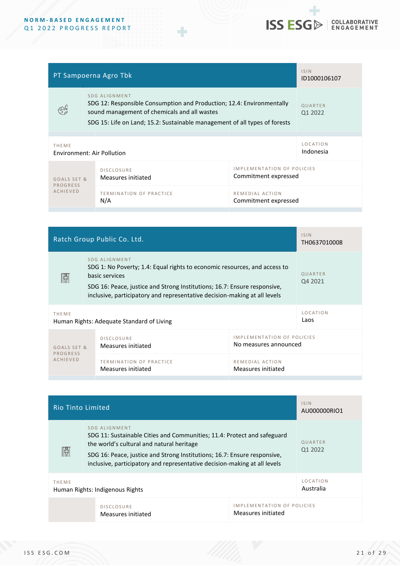

| PT Sampoerna Agro Tbk       |                                                                                                                                                                                                                      | <b>ISIN</b><br>ID1000106107                               |                       |
|-----------------------------|----------------------------------------------------------------------------------------------------------------------------------------------------------------------------------------------------------------------|-----------------------------------------------------------|-----------------------|
|                             | SDG ALIGNMENT<br>SDG 12: Responsible Consumption and Production; 12.4: Environmentally<br>sound management of chemicals and all wastes<br>SDG 15: Life on Land; 15.2: Sustainable management of all types of forests |                                                           | QUARTER<br>Q1 2022    |
| <b>THEME</b>                | Environment: Air Pollution                                                                                                                                                                                           |                                                           | LOCATION<br>Indonesia |
| GOALS SET &                 | <b>DISCLOSURE</b><br>Measures initiated                                                                                                                                                                              | <b>IMPLEMENTATION OF POLICIES</b><br>Commitment expressed |                       |
| PROGRESS<br><b>ACHIEVED</b> | <b>TERMINATION OF PRACTICE</b><br>N/A                                                                                                                                                                                | REMEDIAL ACTION<br>Commitment expressed                   |                       |

| Ratch Group Public Co. Ltd.                               |                                                                                                                                                                                                                                                                       |                                                            | <b>ISIN</b><br>TH0637010008 |
|-----------------------------------------------------------|-----------------------------------------------------------------------------------------------------------------------------------------------------------------------------------------------------------------------------------------------------------------------|------------------------------------------------------------|-----------------------------|
| $\mathbb{R}$                                              | SDG ALIGNMENT<br>SDG 1: No Poverty; 1.4: Equal rights to economic resources, and access to<br>basic services<br>SDG 16: Peace, justice and Strong Institutions; 16.7: Ensure responsive,<br>inclusive, participatory and representative decision-making at all levels |                                                            | QUARTER<br>Q4 2021          |
| <b>THEME</b><br>Human Rights: Adequate Standard of Living |                                                                                                                                                                                                                                                                       |                                                            | <b>LOCATION</b><br>Laos     |
| GOALS SET &<br>PROGRESS<br><b>ACHIEVED</b>                | <b>DISCLOSURE</b><br>Measures initiated                                                                                                                                                                                                                               | <b>IMPLEMENTATION OF POLICIES</b><br>No measures announced |                             |
|                                                           | <b>TERMINATION OF PRACTICE</b><br>Measures initiated                                                                                                                                                                                                                  | REMEDIAL ACTION<br>Measures initiated                      |                             |

| Rio Tinto Limited                               |                                                                                                                                                                                                                                                                                                | <b>ISIN</b><br>AU000000RIO1                             |                    |
|-------------------------------------------------|------------------------------------------------------------------------------------------------------------------------------------------------------------------------------------------------------------------------------------------------------------------------------------------------|---------------------------------------------------------|--------------------|
| H                                               | SDG ALIGNMENT<br>SDG 11: Sustainable Cities and Communities; 11.4: Protect and safeguard<br>the world's cultural and natural heritage<br>SDG 16: Peace, justice and Strong Institutions; 16.7: Ensure responsive,<br>inclusive, participatory and representative decision-making at all levels |                                                         | QUARTER<br>Q1 2022 |
| <b>THEME</b><br>Human Rights: Indigenous Rights |                                                                                                                                                                                                                                                                                                | <b>LOCATION</b><br>Australia                            |                    |
|                                                 | <b>DISCLOSURE</b><br>Measures initiated                                                                                                                                                                                                                                                        | <b>IMPLEMENTATION OF POLICIES</b><br>Measures initiated |                    |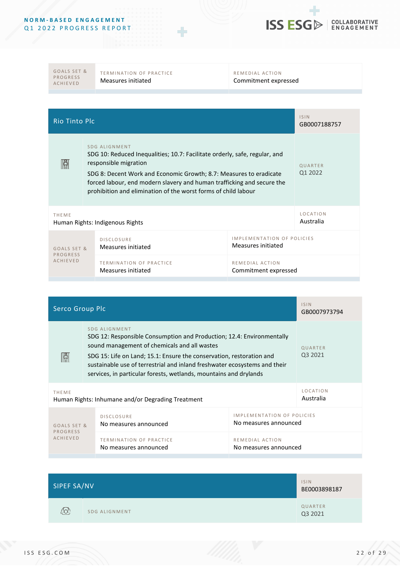

GOALS SET & P R O G R E S S A C H I E V E D

TERMINATION OF PRACTICE Measures initiated

R E M E D I A L A C T I O N Commitment expressed

| <b>Rio Tinto Plc</b>                            |                                                                                                                                                                                                                                                                                                                                        |                                                         | <b>ISIN</b><br>GB0007188757  |
|-------------------------------------------------|----------------------------------------------------------------------------------------------------------------------------------------------------------------------------------------------------------------------------------------------------------------------------------------------------------------------------------------|---------------------------------------------------------|------------------------------|
| H                                               | SDG ALIGNMENT<br>SDG 10: Reduced Inequalities; 10.7: Facilitate orderly, safe, regular, and<br>responsible migration<br>SDG 8: Decent Work and Economic Growth; 8.7: Measures to eradicate<br>forced labour, end modern slavery and human trafficking and secure the<br>prohibition and elimination of the worst forms of child labour |                                                         | QUARTER<br>Q1 2022           |
| <b>THEME</b><br>Human Rights: Indigenous Rights |                                                                                                                                                                                                                                                                                                                                        |                                                         | <b>LOCATION</b><br>Australia |
| GOALS SET &<br>PROGRESS                         | <b>DISCLOSURE</b><br>Measures initiated                                                                                                                                                                                                                                                                                                | <b>IMPLEMENTATION OF POLICIES</b><br>Measures initiated |                              |
| <b>ACHIEVED</b>                                 | <b>TERMINATION OF PRACTICE</b><br>Measures initiated                                                                                                                                                                                                                                                                                   | REMEDIAL ACTION<br>Commitment expressed                 |                              |

| Serco Group Plc                                                   |                                                                                                                                                                                                                                                                                                                                                                  | <b>ISIN</b><br>GB0007973794                                |                    |
|-------------------------------------------------------------------|------------------------------------------------------------------------------------------------------------------------------------------------------------------------------------------------------------------------------------------------------------------------------------------------------------------------------------------------------------------|------------------------------------------------------------|--------------------|
| H                                                                 | SDG ALIGNMENT<br>SDG 12: Responsible Consumption and Production; 12.4: Environmentally<br>sound management of chemicals and all wastes<br>SDG 15: Life on Land; 15.1: Ensure the conservation, restoration and<br>sustainable use of terrestrial and inland freshwater ecosystems and their<br>services, in particular forests, wetlands, mountains and drylands |                                                            | QUARTER<br>Q3 2021 |
| <b>THEME</b><br>Human Rights: Inhumane and/or Degrading Treatment |                                                                                                                                                                                                                                                                                                                                                                  | <b>LOCATION</b><br>Australia                               |                    |
| GOALS SET &<br>PROGRESS                                           | <b>DISCLOSURE</b><br>No measures announced                                                                                                                                                                                                                                                                                                                       | <b>IMPLEMENTATION OF POLICIES</b><br>No measures announced |                    |
| <b>ACHIEVED</b>                                                   | <b>TERMINATION OF PRACTICE</b><br>No measures announced                                                                                                                                                                                                                                                                                                          | REMEDIAL ACTION<br>No measures announced                   |                    |

| SIPEF SA/NV |               | <b>ISIN</b><br>BE0003898187 |
|-------------|---------------|-----------------------------|
| ĿĊ          | SDG ALIGNMENT | QUARTER<br>Q3 2021          |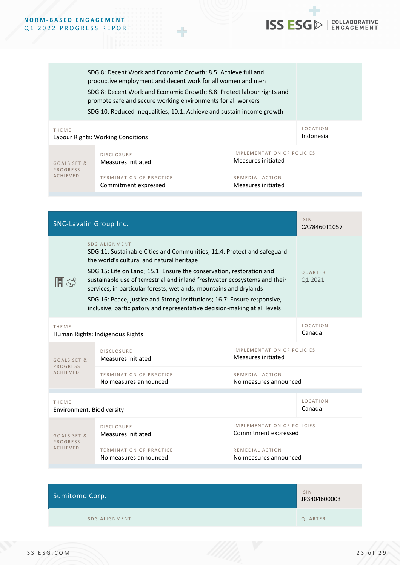

|                                   | SDG 8: Decent Work and Economic Growth; 8.5: Achieve full and<br>productive employment and decent work for all women and men<br>SDG 8: Decent Work and Economic Growth; 8.8: Protect labour rights and<br>promote safe and secure working environments for all workers<br>SDG 10: Reduced Inequalities; 10.1: Achieve and sustain income growth |                                       |  |
|-----------------------------------|-------------------------------------------------------------------------------------------------------------------------------------------------------------------------------------------------------------------------------------------------------------------------------------------------------------------------------------------------|---------------------------------------|--|
| THEME                             |                                                                                                                                                                                                                                                                                                                                                 | <b>LOCATION</b>                       |  |
| Labour Rights: Working Conditions |                                                                                                                                                                                                                                                                                                                                                 | Indonesia                             |  |
| GOALS SET &                       | <b>DISCLOSURE</b>                                                                                                                                                                                                                                                                                                                               | <b>IMPLEMENTATION OF POLICIES</b>     |  |
| PROGRESS                          | Measures initiated                                                                                                                                                                                                                                                                                                                              | Measures initiated                    |  |
| <b>ACHIEVED</b>                   | <b>TERMINATION OF PRACTICE</b><br>Commitment expressed                                                                                                                                                                                                                                                                                          | REMEDIAL ACTION<br>Measures initiated |  |

| SNC-Lavalin Group Inc.                           |  |                                                                                                                                                                                                                                                                                                                                                                                                                                                                                                                          | <b>ISIN</b><br>CA78460T1057                               |                    |
|--------------------------------------------------|--|--------------------------------------------------------------------------------------------------------------------------------------------------------------------------------------------------------------------------------------------------------------------------------------------------------------------------------------------------------------------------------------------------------------------------------------------------------------------------------------------------------------------------|-----------------------------------------------------------|--------------------|
| 111위 C승                                          |  | SDG ALIGNMENT<br>SDG 11: Sustainable Cities and Communities; 11.4: Protect and safeguard<br>the world's cultural and natural heritage<br>SDG 15: Life on Land; 15.1: Ensure the conservation, restoration and<br>sustainable use of terrestrial and inland freshwater ecosystems and their<br>services, in particular forests, wetlands, mountains and drylands<br>SDG 16: Peace, justice and Strong Institutions; 16.7: Ensure responsive,<br>inclusive, participatory and representative decision-making at all levels |                                                           | QUARTER<br>Q1 2021 |
| <b>THEME</b><br>Human Rights: Indigenous Rights  |  | <b>LOCATION</b><br>Canada                                                                                                                                                                                                                                                                                                                                                                                                                                                                                                |                                                           |                    |
| GOALS SET &<br>PROGRESS<br><b>ACHIEVED</b>       |  | <b>DISCLOSURE</b><br>Measures initiated                                                                                                                                                                                                                                                                                                                                                                                                                                                                                  | <b>IMPLEMENTATION OF POLICIES</b><br>Measures initiated   |                    |
|                                                  |  | TERMINATION OF PRACTICE<br>No measures announced                                                                                                                                                                                                                                                                                                                                                                                                                                                                         | REMEDIAL ACTION<br>No measures announced                  |                    |
| <b>THEME</b><br><b>Environment: Biodiversity</b> |  | <b>LOCATION</b><br>Canada                                                                                                                                                                                                                                                                                                                                                                                                                                                                                                |                                                           |                    |
| GOALS SET &                                      |  | <b>DISCLOSURE</b><br>Measures initiated                                                                                                                                                                                                                                                                                                                                                                                                                                                                                  | <b>IMPLEMENTATION OF POLICIES</b><br>Commitment expressed |                    |
| <b>PROGRESS</b><br><b>ACHIEVED</b>               |  | TERMINATION OF PRACTICE<br>No measures announced                                                                                                                                                                                                                                                                                                                                                                                                                                                                         | REMEDIAL ACTION<br>No measures announced                  |                    |

| <b>Sumitomo Corp.</b> |                      | <b>ISIN</b><br>JP3404600003 |
|-----------------------|----------------------|-----------------------------|
|                       | <b>SDG ALIGNMENT</b> | QUARTER                     |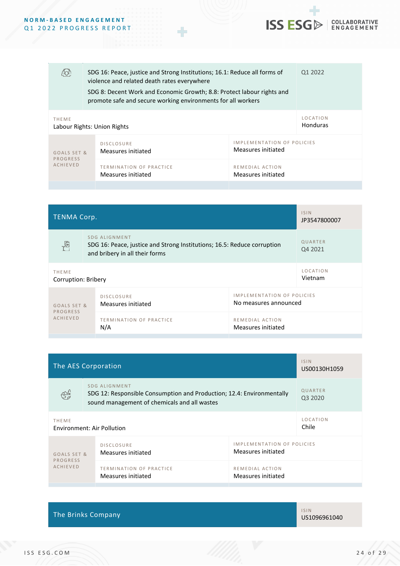

| <b>TENMA Corp.</b>           |                                                                                                                                   |                                                            | <b>ISIN</b><br>JP3547800007 |
|------------------------------|-----------------------------------------------------------------------------------------------------------------------------------|------------------------------------------------------------|-----------------------------|
| 両                            | <b>SDG ALIGNMENT</b><br>SDG 16: Peace, justice and Strong Institutions; 16.5: Reduce corruption<br>and bribery in all their forms |                                                            | QUARTER<br>Q4 2021          |
| THEME<br>Corruption: Bribery |                                                                                                                                   | LOCATION<br>Vietnam                                        |                             |
| GOALS SET &                  | <b>DISCLOSURE</b><br>Measures initiated                                                                                           | <b>IMPLEMENTATION OF POLICIES</b><br>No measures announced |                             |
| PROGRESS<br><b>ACHIEVED</b>  | <b>TERMINATION OF PRACTICE</b><br>N/A                                                                                             | REMEDIAL ACTION<br>Measures initiated                      |                             |

| The AES Corporation                        |                                                                                                                                        |                                                         | <b>ISIN</b><br>US00130H1059 |
|--------------------------------------------|----------------------------------------------------------------------------------------------------------------------------------------|---------------------------------------------------------|-----------------------------|
| \$₹                                        | SDG ALIGNMENT<br>SDG 12: Responsible Consumption and Production; 12.4: Environmentally<br>sound management of chemicals and all wastes |                                                         | QUARTER<br>Q3 2020          |
| <b>THEME</b><br>Environment: Air Pollution |                                                                                                                                        |                                                         | <b>LOCATION</b><br>Chile    |
| GOALS SET &<br>PROGRESS                    | <b>DISCLOSURE</b><br>Measures initiated                                                                                                | <b>IMPLEMENTATION OF POLICIES</b><br>Measures initiated |                             |
| <b>ACHIEVED</b>                            | <b>TERMINATION OF PRACTICE</b><br>Measures initiated                                                                                   | REMEDIAL ACTION<br>Measures initiated                   |                             |

The Brinks Company ISIN 2008 and the Company ISIN 2008 and the Company ISIN 2008 and the Company ISIN 2008 and

US1096961040

**ISS ESG** REDISTRATIVE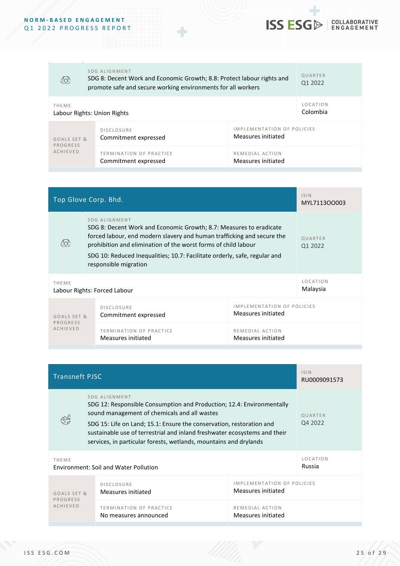| ĿŒ                                          | SDG ALIGNMENT<br>SDG 8: Decent Work and Economic Growth; 8.8: Protect labour rights and<br>promote safe and secure working environments for all workers |                                                         | QUARTER<br>Q1 2022 |
|---------------------------------------------|---------------------------------------------------------------------------------------------------------------------------------------------------------|---------------------------------------------------------|--------------------|
| <b>THEME</b><br>Labour Rights: Union Rights |                                                                                                                                                         | LOCATION<br>Colombia                                    |                    |
| GOALS SET &<br>PROGRESS<br><b>ACHIEVED</b>  | <b>DISCLOSURE</b><br>Commitment expressed                                                                                                               | <b>IMPLEMENTATION OF POLICIES</b><br>Measures initiated |                    |
|                                             | <b>TERMINATION OF PRACTICE</b><br>Commitment expressed                                                                                                  | REMEDIAL ACTION<br>Measures initiated                   |                    |

÷

۰

**ISS ESG** ENGAGEMENT

| Top Glove Corp. Bhd.                                                                                                |                                                                                                                                                                                                                                                                                                                                       |                                       | <b>ISIN</b><br>MYL711300003 |
|---------------------------------------------------------------------------------------------------------------------|---------------------------------------------------------------------------------------------------------------------------------------------------------------------------------------------------------------------------------------------------------------------------------------------------------------------------------------|---------------------------------------|-----------------------------|
| 10L                                                                                                                 | SDG ALIGNMENT<br>SDG 8: Decent Work and Economic Growth; 8.7: Measures to eradicate<br>forced labour, end modern slavery and human trafficking and secure the<br>prohibition and elimination of the worst forms of child labour<br>SDG 10: Reduced Inequalities; 10.7: Facilitate orderly, safe, regular and<br>responsible migration |                                       | QUARTER<br>Q1 2022          |
| <b>THEME</b><br>Labour Rights: Forced Labour                                                                        |                                                                                                                                                                                                                                                                                                                                       | <b>LOCATION</b><br>Malaysia           |                             |
| <b>IMPLEMENTATION OF POLICIES</b><br><b>DISCLOSURE</b><br>Measures initiated<br>Commitment expressed<br>GOALS SET & |                                                                                                                                                                                                                                                                                                                                       |                                       |                             |
| PROGRESS<br><b>ACHIEVED</b>                                                                                         | <b>TERMINATION OF PRACTICE</b><br>Measures initiated                                                                                                                                                                                                                                                                                  | REMEDIAL ACTION<br>Measures initiated |                             |

| <b>Transneft PJSC</b>                                                        |                                                                                                                                                                                                                                                                                                                                                                  | <b>ISIN</b><br>RU0009091573           |                    |
|------------------------------------------------------------------------------|------------------------------------------------------------------------------------------------------------------------------------------------------------------------------------------------------------------------------------------------------------------------------------------------------------------------------------------------------------------|---------------------------------------|--------------------|
|                                                                              | SDG ALIGNMENT<br>SDG 12: Responsible Consumption and Production; 12.4: Environmentally<br>sound management of chemicals and all wastes<br>SDG 15: Life on Land; 15.1: Ensure the conservation, restoration and<br>sustainable use of terrestrial and inland freshwater ecosystems and their<br>services, in particular forests, wetlands, mountains and drylands |                                       | QUARTER<br>Q4 2022 |
| <b>THEME</b><br><b>Environment: Soil and Water Pollution</b>                 |                                                                                                                                                                                                                                                                                                                                                                  | <b>LOCATION</b><br>Russia             |                    |
| <b>DISCLOSURE</b><br>Measures initiated<br>Measures initiated<br>GOALS SET & |                                                                                                                                                                                                                                                                                                                                                                  | <b>IMPLEMENTATION OF POLICIES</b>     |                    |
| PROGRESS<br><b>ACHIEVED</b>                                                  | <b>TERMINATION OF PRACTICE</b><br>No measures announced                                                                                                                                                                                                                                                                                                          | REMEDIAL ACTION<br>Measures initiated |                    |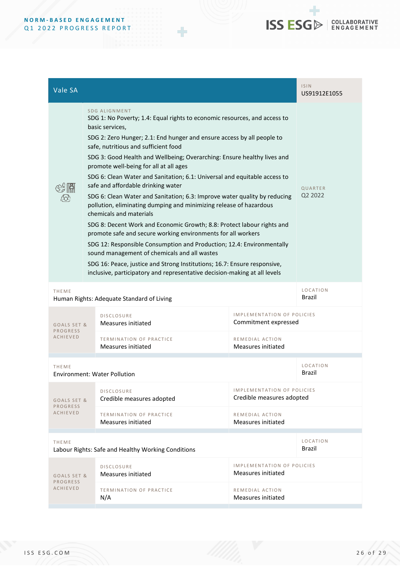## ٠ **ISS ESG** ENGAGEMENT

| Vale SA                                                                                                                                                                                                                                                                                                                                                                                                                                                                                                                                                                                                                                                                                                                                                                                                                                                                                                                                                                                                                                                                                  |                                                                                                      |                                                                | <b>ISIN</b><br>US91912E1055 |
|------------------------------------------------------------------------------------------------------------------------------------------------------------------------------------------------------------------------------------------------------------------------------------------------------------------------------------------------------------------------------------------------------------------------------------------------------------------------------------------------------------------------------------------------------------------------------------------------------------------------------------------------------------------------------------------------------------------------------------------------------------------------------------------------------------------------------------------------------------------------------------------------------------------------------------------------------------------------------------------------------------------------------------------------------------------------------------------|------------------------------------------------------------------------------------------------------|----------------------------------------------------------------|-----------------------------|
| <b>SDG ALIGNMENT</b><br>SDG 1: No Poverty; 1.4: Equal rights to economic resources, and access to<br>basic services,<br>SDG 2: Zero Hunger; 2.1: End hunger and ensure access by all people to<br>safe, nutritious and sufficient food<br>SDG 3: Good Health and Wellbeing; Overarching: Ensure healthy lives and<br>promote well-being for all at all ages<br>SDG 6: Clean Water and Sanitation; 6.1: Universal and equitable access to<br>safe and affordable drinking water<br>SDG 6: Clean Water and Sanitation; 6.3: Improve water quality by reducing<br>pollution, eliminating dumping and minimizing release of hazardous<br>chemicals and materials<br>SDG 8: Decent Work and Economic Growth; 8.8: Protect labour rights and<br>promote safe and secure working environments for all workers<br>SDG 12: Responsible Consumption and Production; 12.4: Environmentally<br>sound management of chemicals and all wastes<br>SDG 16: Peace, justice and Strong Institutions; 16.7: Ensure responsive,<br>inclusive, participatory and representative decision-making at all levels |                                                                                                      | QUARTER<br>Q2 2022                                             |                             |
| <b>THEME</b>                                                                                                                                                                                                                                                                                                                                                                                                                                                                                                                                                                                                                                                                                                                                                                                                                                                                                                                                                                                                                                                                             | Human Rights: Adequate Standard of Living                                                            |                                                                | <b>LOCATION</b><br>Brazil   |
| GOALS SET &                                                                                                                                                                                                                                                                                                                                                                                                                                                                                                                                                                                                                                                                                                                                                                                                                                                                                                                                                                                                                                                                              | <b>IMPLEMENTATION OF POLICIES</b><br><b>DISCLOSURE</b><br>Commitment expressed<br>Measures initiated |                                                                |                             |
| <b>PROGRESS</b><br><b>ACHIEVED</b>                                                                                                                                                                                                                                                                                                                                                                                                                                                                                                                                                                                                                                                                                                                                                                                                                                                                                                                                                                                                                                                       | TERMINATION OF PRACTICE<br>Measures initiated                                                        | REMEDIAL ACTION<br>Measures initiated                          |                             |
| <b>THEME</b>                                                                                                                                                                                                                                                                                                                                                                                                                                                                                                                                                                                                                                                                                                                                                                                                                                                                                                                                                                                                                                                                             | <b>Environment: Water Pollution</b>                                                                  |                                                                | LOCATION<br>Brazil          |
| GOALS SET &                                                                                                                                                                                                                                                                                                                                                                                                                                                                                                                                                                                                                                                                                                                                                                                                                                                                                                                                                                                                                                                                              | <b>DISCLOSURE</b><br>Credible measures adopted                                                       | <b>IMPLEMENTATION OF POLICIES</b><br>Credible measures adopted |                             |
| <b>PROGRESS</b><br><b>ACHIEVED</b>                                                                                                                                                                                                                                                                                                                                                                                                                                                                                                                                                                                                                                                                                                                                                                                                                                                                                                                                                                                                                                                       | <b>TERMINATION OF PRACTICE</b><br>Measures initiated                                                 | REMEDIAL ACTION<br>Measures initiated                          |                             |
| THEME<br>Labour Rights: Safe and Healthy Working Conditions                                                                                                                                                                                                                                                                                                                                                                                                                                                                                                                                                                                                                                                                                                                                                                                                                                                                                                                                                                                                                              |                                                                                                      | <b>LOCATION</b><br>Brazil                                      |                             |
| GOALS SET &                                                                                                                                                                                                                                                                                                                                                                                                                                                                                                                                                                                                                                                                                                                                                                                                                                                                                                                                                                                                                                                                              | <b>DISCLOSURE</b><br>Measures initiated                                                              | <b>IMPLEMENTATION OF POLICIES</b><br>Measures initiated        |                             |
| <b>PROGRESS</b><br><b>ACHIEVED</b>                                                                                                                                                                                                                                                                                                                                                                                                                                                                                                                                                                                                                                                                                                                                                                                                                                                                                                                                                                                                                                                       | <b>TERMINATION OF PRACTICE</b><br>N/A                                                                | REMEDIAL ACTION<br>Measures initiated                          |                             |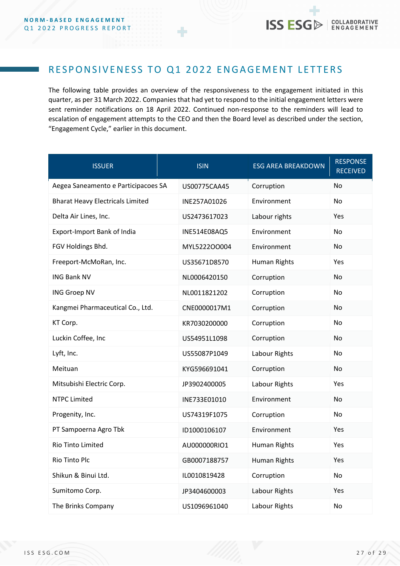## <span id="page-26-0"></span>RESPONSIVENESS TO Q1 2022 ENGAGEMENT LETTERS

The following table provides an overview of the responsiveness to the engagement initiated in this quarter, as per 31 March 2022. Companies that had yet to respond to the initial engagement letters were sent reminder notifications on 18 April 2022. Continued non-response to the reminders will lead to escalation of engagement attempts to the CEO and then the Board level as described under the section, "Engagement Cycle," earlier in this document.

| <b>ISSUER</b>                           | <b>ISIN</b>  | <b>ESG AREA BREAKDOWN</b> | <b>RESPONSE</b><br><b>RECEIVED</b> |
|-----------------------------------------|--------------|---------------------------|------------------------------------|
| Aegea Saneamento e Participacoes SA     | US00775CAA45 | Corruption                | No                                 |
| <b>Bharat Heavy Electricals Limited</b> | INE257A01026 | Environment               | No                                 |
| Delta Air Lines, Inc.                   | US2473617023 | Labour rights             | Yes                                |
| Export-Import Bank of India             | INE514E08AQ5 | Environment               | No                                 |
| FGV Holdings Bhd.                       | MYL5222OO004 | Environment               | No                                 |
| Freeport-McMoRan, Inc.                  | US35671D8570 | Human Rights              | Yes                                |
| <b>ING Bank NV</b>                      | NL0006420150 | Corruption                | No                                 |
| <b>ING Groep NV</b>                     | NL0011821202 | Corruption                | No                                 |
| Kangmei Pharmaceutical Co., Ltd.        | CNE0000017M1 | Corruption                | No                                 |
| KT Corp.                                | KR7030200000 | Corruption                | No                                 |
| Luckin Coffee, Inc                      | US54951L1098 | Corruption                | No                                 |
| Lyft, Inc.                              | US55087P1049 | Labour Rights             | No                                 |
| Meituan                                 | KYG596691041 | Corruption                | No                                 |
| Mitsubishi Electric Corp.               | JP3902400005 | Labour Rights             | Yes                                |
| <b>NTPC Limited</b>                     | INE733E01010 | Environment               | No                                 |
| Progenity, Inc.                         | US74319F1075 | Corruption                | No                                 |
| PT Sampoerna Agro Tbk                   | ID1000106107 | Environment               | Yes                                |
| Rio Tinto Limited                       | AU000000RIO1 | Human Rights              | Yes                                |
| Rio Tinto Plc                           | GB0007188757 | Human Rights              | Yes                                |
| Shikun & Binui Ltd.                     | IL0010819428 | Corruption                | No                                 |
| Sumitomo Corp.                          | JP3404600003 | Labour Rights             | Yes                                |
| The Brinks Company                      | US1096961040 | Labour Rights             | No                                 |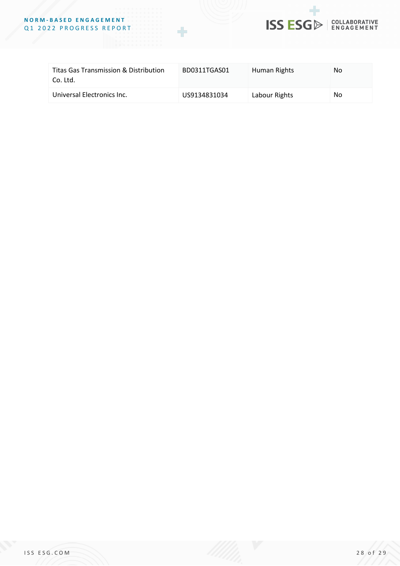

| Titas Gas Transmission & Distribution<br>Co. Ltd. | BD0311TGAS01 | Human Rights  | No |
|---------------------------------------------------|--------------|---------------|----|
| Universal Electronics Inc.                        | US9134831034 | Labour Rights | No |